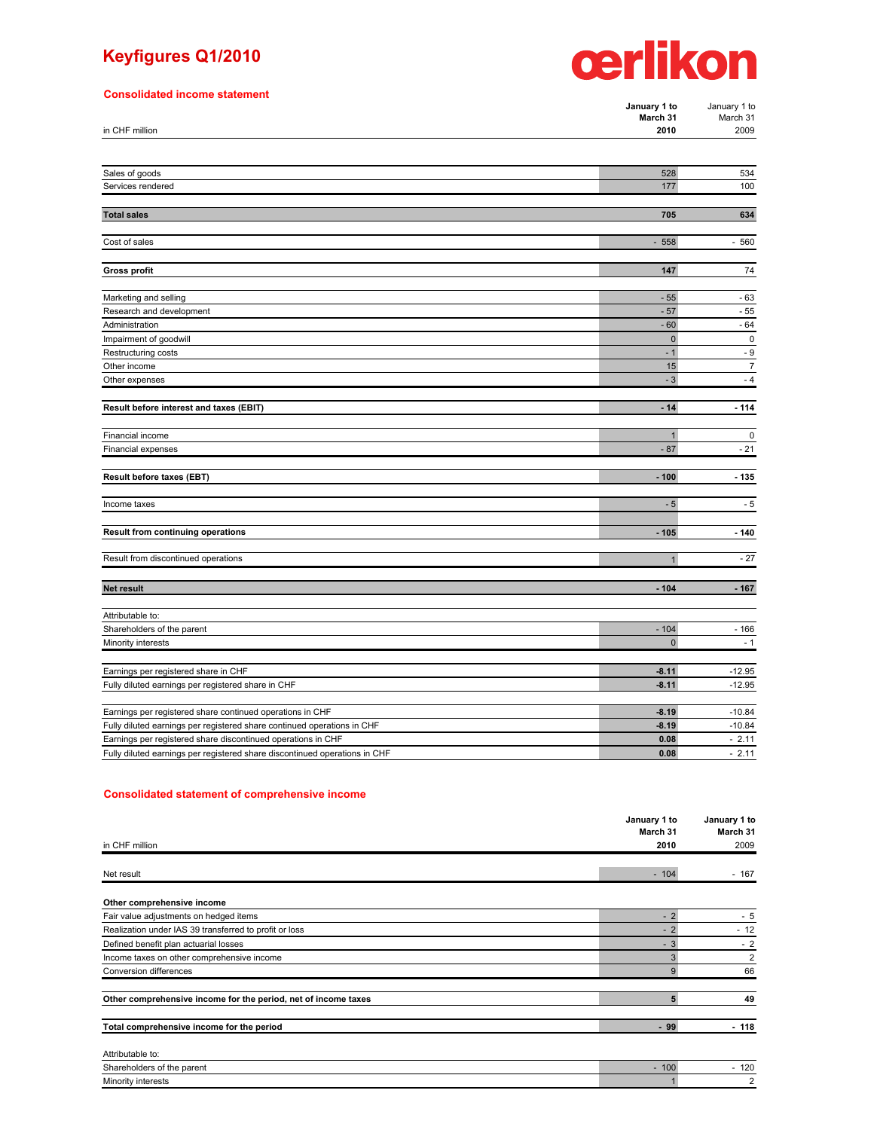## **Keyfigures Q1/2010**

#### **Consolidated income statement**



| <b>Ponsonaated income statement</b>                                        | January 1 to<br>March 31 | January 1 to<br>March 31 |
|----------------------------------------------------------------------------|--------------------------|--------------------------|
| in CHF million                                                             | 2010                     | 2009                     |
| Sales of goods                                                             | 528                      | 534                      |
| Services rendered                                                          | 177                      | 100                      |
|                                                                            |                          |                          |
| <b>Total sales</b>                                                         | 705                      | 634                      |
| Cost of sales                                                              | 558<br>÷,                | 560<br>÷,                |
| <b>Gross profit</b>                                                        | 147                      | 74                       |
|                                                                            |                          |                          |
| Marketing and selling                                                      | $-55$                    | $-63$                    |
| Research and development<br>Administration                                 | $-57$<br>$-60$           | $-55$<br>$-64$           |
| Impairment of goodwill                                                     | $\mathbf 0$              | $\pmb{0}$                |
| Restructuring costs                                                        | $-1$                     | - 9                      |
| Other income                                                               | 15                       | $\overline{7}$           |
| Other expenses                                                             | $-3$                     | $-4$                     |
| Result before interest and taxes (EBIT)                                    | $-14$                    | $-114$                   |
|                                                                            |                          |                          |
| Financial income                                                           | 1                        | $\pmb{0}$                |
| Financial expenses                                                         | $-87$                    | $-21$                    |
| Result before taxes (EBT)                                                  | $-100$                   | $-135$                   |
|                                                                            |                          |                          |
| Income taxes                                                               | $-5$                     | - 5                      |
|                                                                            | $-105$                   |                          |
| Result from continuing operations                                          |                          | $-140$                   |
| Result from discontinued operations                                        | $\mathbf{1}$             | $-27$                    |
| <b>Net result</b>                                                          | $-104$                   | $-167$                   |
| Attributable to:                                                           |                          |                          |
| Shareholders of the parent                                                 | $-104$                   | $-166$                   |
| Minority interests                                                         | $\pmb{0}$                | $-1$                     |
|                                                                            |                          |                          |
| Earnings per registered share in CHF                                       | $-8.11$                  | $-12.95$                 |
| Fully diluted earnings per registered share in CHF                         | $-8.11$                  | $-12.95$                 |
| Earnings per registered share continued operations in CHF                  | $-8.19$                  | $-10.84$                 |
| Fully diluted earnings per registered share continued operations in CHF    | $-8.19$                  | $-10.84$                 |
| Earnings per registered share discontinued operations in CHF               | 0.08                     | $-2.11$                  |
| Fully diluted earnings per registered share discontinued operations in CHF | 0.08                     | $-2.11$                  |

#### **Consolidated statement of comprehensive income**

| in CHF million                                                 | January 1 to | January 1 to<br>March 31<br>2009 |
|----------------------------------------------------------------|--------------|----------------------------------|
|                                                                | March 31     |                                  |
|                                                                | 2010         |                                  |
|                                                                |              |                                  |
| Net result                                                     | $-104$       | $-167$                           |
| Other comprehensive income                                     |              |                                  |
| Fair value adjustments on hedged items                         | $-2$         | $-5$                             |
| Realization under IAS 39 transferred to profit or loss         | $-2$         | $-12$                            |
| Defined benefit plan actuarial losses                          | $-3$         | $-2$                             |
| Income taxes on other comprehensive income                     |              | 2                                |
| Conversion differences                                         | 9            | 66                               |
| Other comprehensive income for the period, net of income taxes | 5            | 49                               |
|                                                                |              |                                  |
| Total comprehensive income for the period                      | $-99$        | $-118$                           |
| Attributable to:                                               |              |                                  |
| Shareholders of the parent                                     | $-100$       | $-120$                           |

Minority interests and the control of the control of the control of the control of the control of the control of the control of the control of the control of the control of the control of the control of the control of the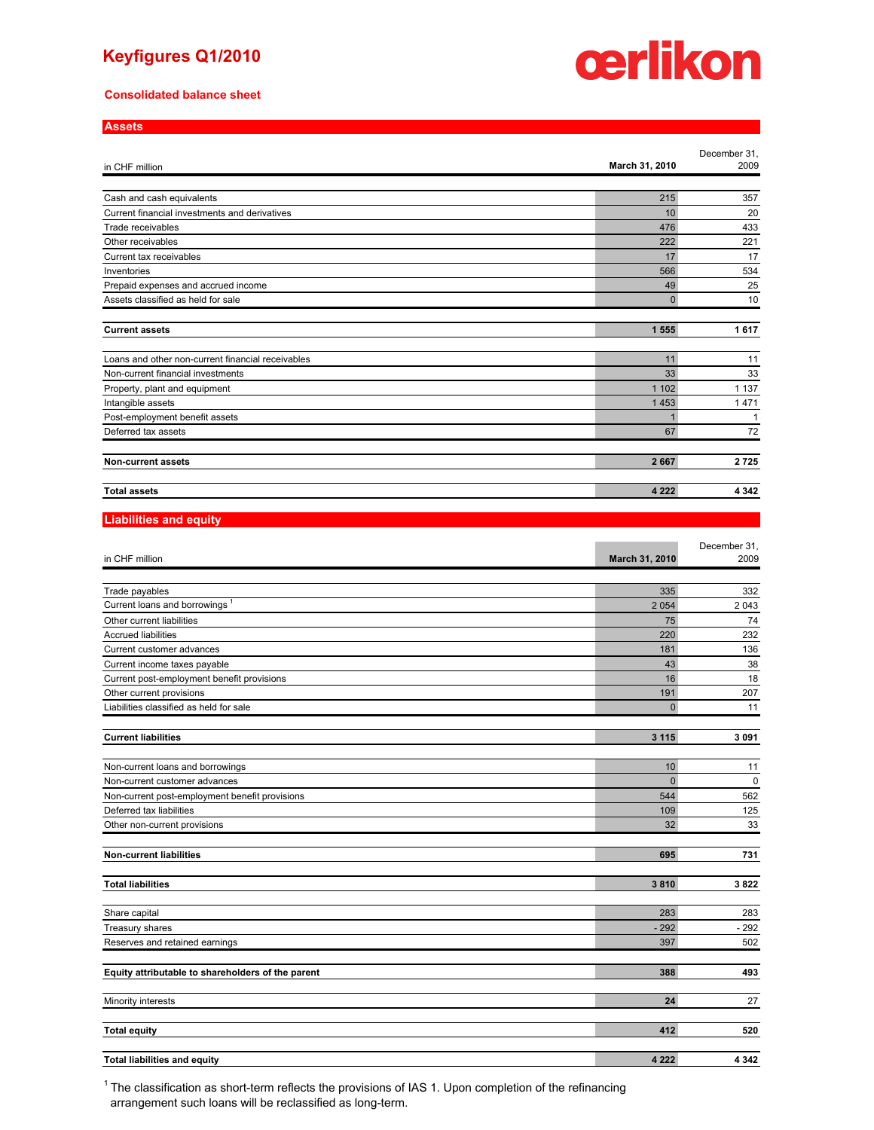#### **Keyfigures Q1/2010**

#### **Consolidated balance sheet**

**Assets**



| -----                                             |                |              |
|---------------------------------------------------|----------------|--------------|
|                                                   |                | December 31, |
| in CHF million                                    | March 31, 2010 | 2009         |
|                                                   |                |              |
| Cash and cash equivalents                         | 215            | 357          |
| Current financial investments and derivatives     | 10             | 20           |
| Trade receivables                                 | 476            | 433          |
| Other receivables                                 | 222            | 221          |
| Current tax receivables                           | 17             | 17           |
| Inventories                                       | 566            | 534          |
| Prepaid expenses and accrued income               | 49             | 25           |
| Assets classified as held for sale                | $\Omega$       | 10           |
|                                                   |                |              |
| <b>Current assets</b>                             | 1555           | 1617         |
|                                                   |                |              |
| Loans and other non-current financial receivables | 11             | 11           |
| Non-current financial investments                 | 33             | 33           |
| Property, plant and equipment                     | 1 1 0 2        | 1 1 3 7      |
| Intangible assets                                 | 1453           | 1471         |
| Post-employment benefit assets                    |                | $\mathbf{1}$ |
| Deferred tax assets                               | 67             | 72           |
| <b>Non-current assets</b>                         | 2667           | 2725         |
|                                                   |                |              |
| <b>Total assets</b>                               | 4 2 2 2        | 4 3 4 2      |

#### **Liabilities and equity**

| in CHF million                                    | March 31, 2010 | December 31,<br>2009 |
|---------------------------------------------------|----------------|----------------------|
|                                                   |                |                      |
| Trade payables                                    | 335            | 332                  |
| Current loans and borrowings <sup>1</sup>         | 2054           | 2 0 4 3              |
| Other current liabilities                         | 75             | 74                   |
| <b>Accrued liabilities</b>                        | 220            | 232                  |
| Current customer advances                         | 181            | 136                  |
| Current income taxes payable                      | 43             | 38                   |
| Current post-employment benefit provisions        | 16             | 18                   |
| Other current provisions                          | 191            | 207                  |
| Liabilities classified as held for sale           | $\Omega$       | 11                   |
| <b>Current liabilities</b>                        | 3 1 1 5        | 3091                 |
|                                                   |                |                      |
| Non-current loans and borrowings                  | 10             | 11                   |
| Non-current customer advances                     | $\Omega$       | $\mathbf 0$          |
| Non-current post-employment benefit provisions    | 544            | 562                  |
| Deferred tax liabilities                          | 109            | 125                  |
| Other non-current provisions                      | 32             | 33                   |
|                                                   |                |                      |
| <b>Non-current liabilities</b>                    | 695            | 731                  |
| <b>Total liabilities</b>                          | 3810           | 3822                 |
| Share capital                                     | 283            | 283                  |
| Treasury shares                                   | $-292$         | $-292$               |
| Reserves and retained earnings                    | 397            | 502                  |
|                                                   |                |                      |
| Equity attributable to shareholders of the parent | 388            | 493                  |
| Minority interests                                | 24             | 27                   |
| <b>Total equity</b>                               | 412            | 520                  |
|                                                   |                |                      |
| <b>Total liabilities and equity</b>               | 4 2 2 2        | 4 3 4 2              |

 $1$  The classification as short-term reflects the provisions of IAS 1. Upon completion of the refinancing arrangement such loans will be reclassified as long-term.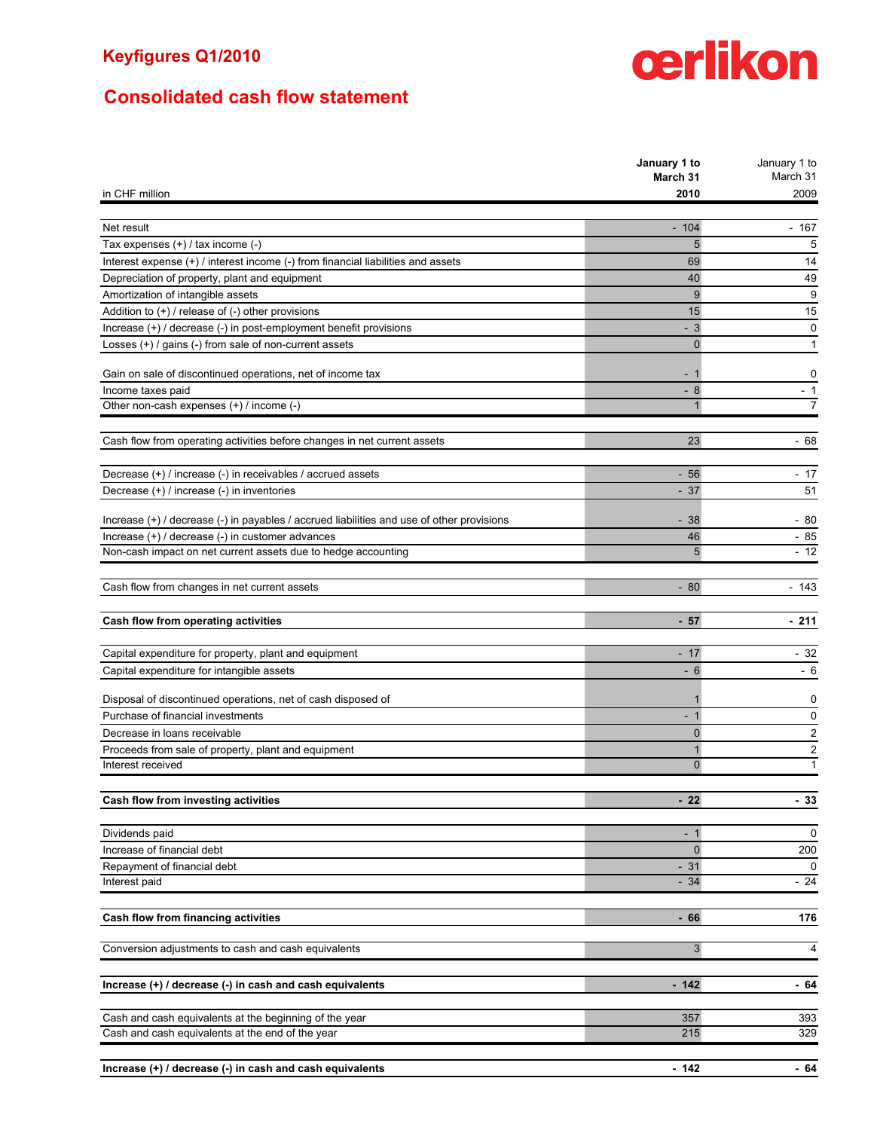## **Consolidated cash flow statement**

## **January 1 to March 31** January 1 to March 31 in CHF million **2010** 2009 Net result - 104 - 167 Tax expenses (+) / tax income (-) 5 5 Interest expense (+) / interest income (-) from financial liabilities and assets 69 14 Depreciation of property, plant and equipment 40 49 Amortization of intangible assets 9 9 Addition to (+) / release of (-) other provisions 15 15 Increase (+) / decrease (-) in post-employment benefit provisions and a set of the set of the set of the set of the set of the set of the set of the set of the set of the set of the set of the set of the set of the set of Losses (+) / gains (-) from sale of non-current assets 0 1 Gain on sale of discontinued operations, net of income tax definition of the control of the control of the control of the control of the control of the control of the control of the control of the control of the control of Income taxes paid  $\sim$  1 Other non-cash expenses (+) / income (-) 2 7 Cash flow from operating activities before changes in net current assets 23 23 0 23 Decrease (+) / increase (-) in receivables / accrued assets - 56 - 17 Decrease (+) / increase (-) in inventories - 37 51 Increase (+) / decrease (-) in payables / accrued liabilities and use of other provisions - 38 - 80 - 80  $\ln$ Crease (+) / decrease (-) in customer advances  $46$  - 85 Non-cash impact on net current assets due to hedge accounting 5 - 12 Cash flow from changes in net current assets - 80 - 143 **Cash flow from operating activities Cash flow from operating activities - 211** Capital expenditure for property, plant and equipment - 17 - 32 Capital expenditure for intangible assets  $\sim$  6  $-$  6  $-$  6  $-$  6  $-$  6 Disposal of discontinued operations, net of cash disposed of 1 0 Purchase of financial investments on the contract of the contract of the contract of the contract of the contract of the contract of the contract of the contract of the contract of the contract of the contract of the contr Decrease in loans receivable **2** 2 Proceeds from sale of property, plant and equipment 1 2 Interest received 0 1 **Cash flow from investing activities - 22 - 33** Dividends paid - 1 0 **Increase of financial debt** 200 Repayment of financial debt  $\sim$  31 0 Interest paid and the set of the set of the set of the set of the set of the set of the set of the set of the set of the set of the set of the set of the set of the set of the set of the set of the set of the set of the se **Cash flow from financing activities 176 176** Conversion adjustments to cash and cash equivalents 3 4 4 4  $\frac{1}{3}$  3 4  $\frac{4}{3}$  4  $\frac{4}{3}$  4  $\frac{4}{3}$  4  $\frac{4}{3}$  4  $\frac{4}{3}$  4  $\frac{4}{3}$  4  $\frac{4}{3}$  4  $\frac{4}{3}$  4  $\frac{4}{3}$  4  $\frac{4}{3}$  4  $\frac{4}{3}$  4  $\frac{4}{3}$  4  $\frac{$ **Increase (+)** / decrease (-) in cash and cash equivalents **and in the set of the set of the set of the set of the set of the set of the set of the set of the set of the set of the set of the set of the set of the set of t** Cash and cash equivalents at the beginning of the year 357 393 Cash and cash equivalents at the end of the year 215 329

**Increase (+) / decrease (-) in cash and cash equivalents - 142 - 64**

## cerlikon